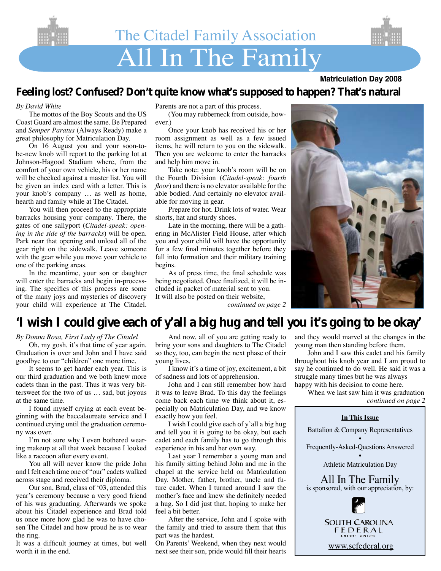

# **Matriculation Day 2008**

## **Feeling lost? Confused? Don't quite know what's supposed to happen? That's natural**

#### *By David White*

 The mottos of the Boy Scouts and the US Coast Guard are almost the same. Be Prepared and *Semper Paratus* (Always Ready) make a great philosophy for Matriculation Day.

 On 16 August you and your soon-tobe-new knob will report to the parking lot at Johnson-Hagood Stadium where, from the comfort of your own vehicle, his or her name will be checked against a master list. You will be given an index card with a letter. This is your knob's company … as well as home, hearth and family while at The Citadel.

 You will then proceed to the appropriate barracks housing your company. There, the gates of one sallyport (*Citadel-speak: opening in the side of the barracks*) will be open. Park near that opening and unload all of the gear right on the sidewalk. Leave someone with the gear while you move your vehicle to one of the parking areas.

 In the meantime, your son or daughter will enter the barracks and begin in-processing. The specifics of this process are some of the many joys and mysteries of discovery your child will experience at The Citadel. Parents are not a part of this process.

 (You may rubberneck from outside, however.)

 Once your knob has received his or her room assignment as well as a few issued items, he will return to you on the sidewalk. Then you are welcome to enter the barracks and help him move in.

 Take note: your knob's room will be on the Fourth Division (*Citadel-speak: fourth floor*) and there is no elevator available for the able bodied. And certainly no elevator available for moving in gear.

 Prepare for hot. Drink lots of water. Wear shorts, hat and sturdy shoes.

 Late in the morning, there will be a gathering in McAlister Field House, after which you and your child will have the opportunity for a few final minutes together before they fall into formation and their military training begins.

As of press time, the final schedule was being negotiated. Once finalized, it will be included in packet of material sent to you. It will also be posted on their website,



*continued on page 2*

# **'I wish I could give each of y'all a big hug and tell you it's going to be okay'**

*By Donna Rosa, First Lady of The Citadel*

 Oh, my gosh, it's that time of year again. Graduation is over and John and I have said goodbye to our "children" one more time.

 It seems to get harder each year. This is our third graduation and we both knew more cadets than in the past. Thus it was very bittersweet for the two of us … sad, but joyous at the same time.

 I found myself crying at each event beginning with the baccalaureate service and I continued crying until the graduation ceremony was over.

 I'm not sure why I even bothered wearing makeup at all that week because I looked like a raccoon after every event.

 You all will never know the pride John and I felt each time one of "our" cadets walked across stage and received their diploma.

 Our son, Brad, class of '03, attended this year's ceremony because a very good friend of his was graduating. Afterwards we spoke about his Citadel experience and Brad told us once more how glad he was to have chosen The Citadel and how proud he is to wear the ring.

It was a difficult journey at times, but well worth it in the end.

 And now, all of you are getting ready to bring your sons and daughters to The Citadel so they, too, can begin the next phase of their young lives.

 I know it's a time of joy, excitement, a bit of sadness and lots of apprehension.

 John and I can still remember how hard it was to leave Brad. To this day the feelings come back each time we think about it, especially on Matriculation Day, and we know exactly how you feel.

 I wish I could give each of y'all a big hug and tell you it is going to be okay, but each cadet and each family has to go through this experience in his and her own way.

 Last year I remember a young man and his family sitting behind John and me in the chapel at the service held on Matriculation Day. Mother, father, brother, uncle and future cadet. When I turned around I saw the mother's face and knew she definitely needed a hug. So I did just that, hoping to make her feel a bit better.

 After the service, John and I spoke with the family and tried to assure them that this part was the hardest.

On Parents' Weekend, when they next would next see their son, pride would fill their hearts and they would marvel at the changes in the young man then standing before them.

 John and I saw this cadet and his family throughout his knob year and I am proud to say he continued to do well. He said it was a struggle many times but he was always happy with his decision to come here.

 When we last saw him it was graduation *continued on page 2*

## **In This Issue** Battalion & Company Representatives • Frequently-Asked-Questions Answered • Athletic Matriculation Day All In The Family is sponsored, with our appreciation, by: **SOUTH CAROLINA** FEDERAL **CREDIT UNIO** www.scfederal.org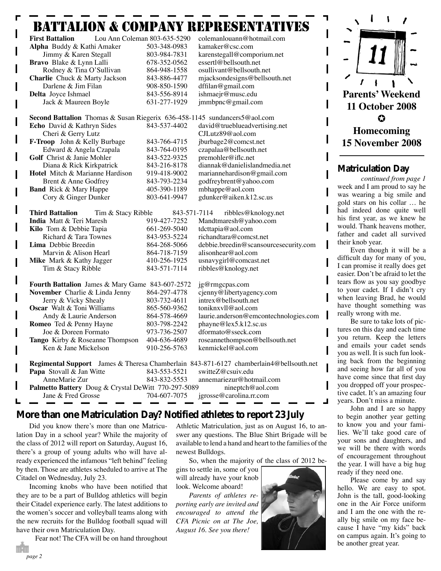# Battalion & Company Representatives

| Lou Ann Coleman 803-635-5290<br><b>First Battalion</b>                                        |              | colemanlouann@hotmail.com             |
|-----------------------------------------------------------------------------------------------|--------------|---------------------------------------|
| Alpha Buddy & Kathi Amaker                                                                    | 503-348-0983 | kamaker@csc.com                       |
| Jimmy & Karen Stegall                                                                         | 803-984-7831 | karenstegall@comporium.net            |
| Bravo Blake & Lynn Lalli                                                                      | 678-352-0562 | essertl@bellsouth.net                 |
| Rodney & Tina O'Sullivan                                                                      | 864-948-1558 | osullivant@bellsouth.net              |
| Charlie Chuck & Marty Jackson                                                                 | 843-886-4477 | mjacksondesigns@bellsouth.net         |
| Darlene & Jim Filan                                                                           | 908-850-1590 | dffilan@gmail.com                     |
| Delta Joyce Ishmael                                                                           | 843-556-8914 | ishmaejr@musc.edu                     |
| Jack & Maureen Boyle                                                                          | 631-277-1929 | jmmbpnc@gmail.com                     |
| <b>Second Battalion</b> Thomas & Susan Riegerix 636-458-1145 sundancers5@aol.com              |              |                                       |
| Echo David & Kathryn Sides                                                                    | 843-537-4402 | david@trueblueadvertising.net         |
| Cheri & Gerry Lutz                                                                            |              | CJLutz89@aol.com                      |
| F-Troop John & Kelly Burbage                                                                  | 843-766-4715 | jburbage2@comcst.net                  |
| Edward & Angela Czapala                                                                       | 843-764-0195 | czapalaa@bellsouth.net                |
| Golf Christ & Janie Mohler                                                                    | 843-522-9325 | premohler@iflc.net                    |
| Diana & Rick Kirkpatrick                                                                      | 843-216-8178 | diannak@danielislandmedia.net         |
| Hotel Mitch & Marianne Hardison                                                               | 919-418-9002 | mariannehardison@gmail.com            |
| Brent & Anne Godfrey                                                                          | 843-793-2234 | godfreybrent@yahoo.com                |
| <b>Band</b> Rick & Mary Happe                                                                 | 405-390-1189 | mbhappe@aol.com                       |
| Cory & Ginger Dunker                                                                          | 803-641-9947 | gdunker@aiken.k12.sc.us               |
|                                                                                               |              |                                       |
| <b>Third Battalion</b><br>Tim & Stacy Ribble                                                  | 843-571-7114 | ribbles@knology.net                   |
| <b>India</b> Matt & Teri Maresh                                                               | 919-427-7252 | Mandtmaresh@yahoo.com                 |
| Kilo Tom & Debbie Tapia                                                                       | 661-269-5040 | tdcttapia@aol.com                     |
| Richard & Tara Townes                                                                         | 843-953-5224 | richandtara@comcst.net                |
| Lima Debbie Breedin                                                                           | 864-268-5066 | debbie.breedin@scansourcesecurity.com |
| Marvin & Alison Hearl                                                                         | 864-718-7159 | alisonhear@aol.com                    |
| Mike Mark & Kathy Jagger                                                                      | 410-256-1925 | usnavygirl@comcast.net                |
| Tim & Stacy Ribble                                                                            | 843-571-7114 | ribbles@knology.net                   |
| Fourth Battalion James & Mary Game 843-607-2572<br>jg@rmgcpas.com                             |              |                                       |
| November Charlie & Linda Jenny                                                                | 864-297-4778 | cjenny@libertyagency.com              |
| Jerry & Vicky Shealy                                                                          | 803-732-4611 | intrex@bellsouth.net                  |
| <b>Oscar</b> Walt & Toni Williams                                                             | 865-560-9362 | toniknxyll@aol.com                    |
| Andy & Laurie Anderson                                                                        | 864-578-4669 | laurie.anderson@emcontechnologies.com |
| Romeo Ted & Penny Hayne                                                                       | 803-798-2242 | phayne@lex5.k12.sc.us                 |
| Joe & Doreen Formato                                                                          | 973-736-2507 | dformato@sseck.com                    |
| Tango Kirby & Roseanne Thompson                                                               | 404-636-4689 | roseannethompson@bellsouth.net        |
| Ken & Jane Mickelson                                                                          | 910-256-5763 | kenmickel@aol.com                     |
| <b>Regimental Support</b> James & Theresa Chamberlain 843-871-6127 chamberlain4@bellsouth.net |              |                                       |
| Papa Stovall & Jan Witte                                                                      | 843-553-5521 | switteZ@csuiv.edu                     |
| AnneMarie Zur                                                                                 | 843-832-5553 | annemariezur@hotmail.com              |
| Palmetto Battery Doug & Crystal DeWitt 770-297-5089<br>nineptch@aol.com                       |              |                                       |
| Jane & Fred Grosse                                                                            | 704-607-7075 | jgrosse@carolina.rr.com               |
|                                                                                               |              |                                       |

## **More than one Matriculation Day? Notified athletes to report 23 July**

 Did you know there's more than one Matriculation Day in a school year? While the majority of the class of 2012 will report on Saturday, August 16, there's a group of young adults who will have already experienced the infamous "left behind" feeling by then. Those are athletes scheduled to arrive at The Citadel on Wednesday, July 23.

Incoming knobs who have been notified that they are to be a part of Bulldog athletics will begin their Citadel experience early. The latest additions to the women's soccer and volleyball teams along with the new recruits for the Bulldog football squad will have their own Matriculation Day.

Fear not! The CFA will be on hand throughout

Athletic Matriculation, just as on August 16, to answer any questions. The Blue Shirt Brigade will be available to lend a hand and heart to the families of the newest Bulldogs.

 So, when the majority of the class of 2012 be-

gins to settle in, some of you will already have your knob look. Welcome aboard!

*Parents of athletes reporting early are invited and encouraged to attend the CFA Picnic on at The Joe, August 16. See you there!*





#### **Matriculation Day**

*continued from page 1*  week and I am proud to say he was wearing a big smile and gold stars on his collar … he had indeed done quite well his first year, as we knew he would. Thank heavens mother, father and cadet all survived their knob year.

 Even though it will be a difficult day for many of you, I can promise it really does get easier. Don't be afraid to let the tears flow as you say goodbye to your cadet. If I didn't cry when leaving Brad, he would have thought something was really wrong with me.

 Be sure to take lots of pictures on this day and each time you return. Keep the letters and emails your cadet sends you as well. It is such fun looking back from the beginning and seeing how far all of you have come since that first day you dropped off your prospective cadet. It's an amazing four years. Don't miss a minute.

 John and I are so happy to begin another year getting to know you and your families. We'll take good care of your sons and daughters, and we will be there with words of encouragement throughout the year. I will have a big hug ready if they need one.

 Please come by and say hello. We are easy to spot. John is the tall, good-looking one in the Air Force uniform and I am the one with the really big smile on my face because I have "my kids" back on campus again. It's going to be another great year.

*page 2*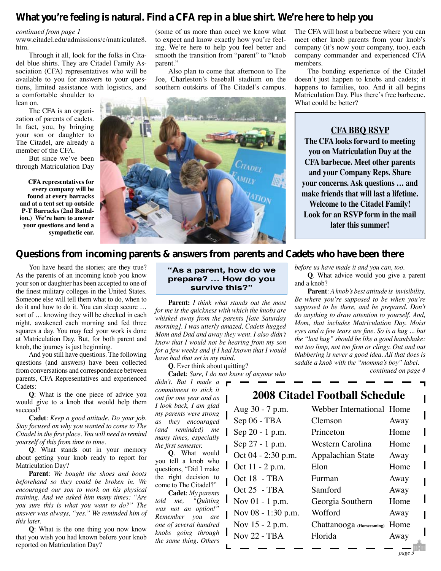## **What you're feeling is natural. Find a CFA rep in a blue shirt. We're here to help you**

#### *continued from page 1*

www.citadel.edu/admissions/c/matriculate8. htm.

 Through it all, look for the folks in Citadel blue shirts. They are Citadel Family Association (CFA) representatives who will be available to you for answers to your questions, limited assistance with logistics, and a comfortable shoulder to

lean on.

 The CFA is an organization of parents of cadets. In fact, you, by bringing your son or daughter to The Citadel, are already a member of the CFA.

 But since we've been through Matriculation Day

**CFA representatives for every company will be found at every barracks and at a tent set up outside P-T Barracks (2nd Battalion.) We're here to answer your questions and lend a sympathetic ear.**

(some of us more than once) we know what to expect and know exactly how you're feeling. We're here to help you feel better and smooth the transition from "parent" to "knob parent."

 Also plan to come that afternoon to The Joe, Charleston's baseball stadium on the southern outskirts of The Citadel's campus.



The CFA will host a barbecue where you can meet other knob parents from your knob's company (it's now your company, too), each company commander and experienced CFA members.

 The bonding experience of the Citadel doesn't just happen to knobs and cadets; it happens to families, too. And it all begins Matriculation Day. Plus there's free barbecue. What could be better?

**CFA BBQ RSVP The CFA looks forward to meeting you on Matriculation Day at the CFA barbecue. Meet other parents and your Company Reps. Share your concerns. Ask questions … and make friends that will last a lifetime. Welcome to the Citadel Family! Look for an RSVP form in the mail later this summer!**

## **Questions from incoming parents & answers from parents and Cadets who have been there**

 You have heard the stories; are they true? As the parents of an incoming knob you know your son or daughter has been accepted to one of the finest military colleges in the United States. Someone else will tell them what to do, when to do it and how to do it. You can sleep secure … sort of … knowing they will be checked in each night, awakened each morning and fed three squares a day. You may feel your work is done at Matriculation Day. But, for both parent and knob, the journey is just beginning.

 And you still have questions. The following questions (and answers) have been collected from conversations and correspondence between parents, CFA Representatives and experienced Cadets:

**Q**: What is the one piece of advice you would give to a knob that would help them succeed?

**Cadet**: *Keep a good attitude. Do your job. Stay focused on why you wanted to come to The Citadel in the first place. You will need to remind yourself of this from time to time.*

**Q**: What stands out in your memory about getting your knob ready to report for Matriculation Day?

**Parent**: *We bought the shoes and boots beforehand so they could be broken in. We encouraged our son to work on his physical training. And we asked him many times: "Are you sure this is what you want to do?" The answer was always, "yes." We reminded him of this later.* 

**Q**: What is the one thing you now know that you wish you had known before your knob reported on Matriculation Day?

#### **"As a parent, how do we prepare? … How do you survive this?"**

**Parent:** *I think what stands out the most for me is the quickness with which the knobs are whisked away from the parents [late Saturday morning]. I was utterly amazed, Cadets hugged Mom and Dad and away they went. I also didn't know that I would not be hearing from my son for a few weeks and if I had known that I would have had that set in my mind.*

**Q**. Ever think about quitting?

**Cadet**: *Sure, I do not know of anyone who* 

*didn't. But I made a commitment to stick it out for one year and as I look back, I am glad my parents were strong as they encouraged (and reminded) me many times, especially the first semester.* 

**Q**. What would you tell a knob who questions, "Did I make the right decision to come to The Citadel?"

**Cadet**: *My parents told me, "Quitting was not an option!" Remember you are one of several hundred knobs going through the same thing. Others* 

and a knob? **Parent**: *A knob's best attitude is invisibility. Be where you're supposed to be when you're supposed to be there, and be prepared. Don't do anything to draw attention to yourself. And, Mom, that includes Matriculation Day. Moist eyes and a few tears are fine. So is a hug ... but the "last hug" should be like a good handshake: not too limp, not too firm or clingy. Out and out blubbering is never a good idea. All that does is saddle a knob with the "momma's boy" label.*

*before us have made it and you can, too.*

**Q**. What advice would you give a parent

*continued on page 4*

# **2008 Citadel Football Schedule**

Aug 30 - 7 p.m. Webber International Home Sep 06 - TBA Clemson Away Sep 20 - 1 p.m. Princeton Home Sep 27 - 1 p.m. Western Carolina Home Oct 04 - 2:30 p.m. Appalachian State Away Oct  $11 - 2$  p.m. Elon Home Oct 18 - TBA Furman Away Oct 25 - TBA Samford Away Nov 01 - 1 p.m. Georgia Southern Home Nov  $08 - 1:30$  p.m. Wofford Away Nov 15 - 2 p.m. Chattanooga (Homecoming) Home Nov 22 - TBA Florida Away